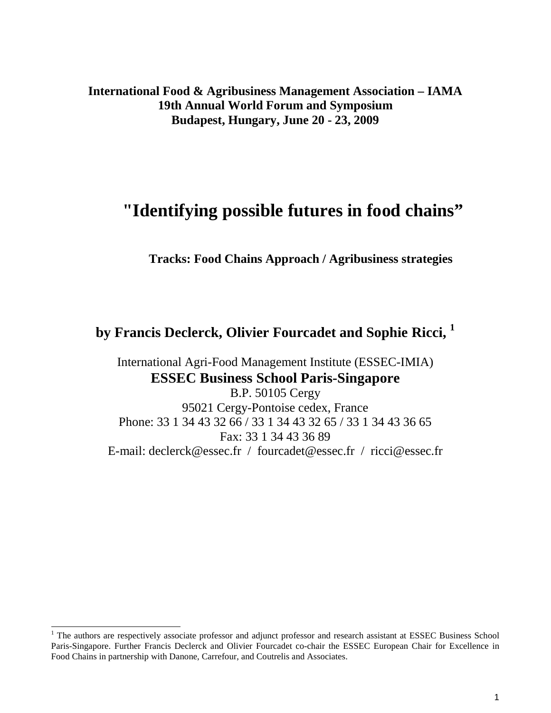**International Food & Agribusiness Management Association – IAMA 19th Annual World Forum and Symposium Budapest, Hungary, June 20 - 23, 2009** 

# **"Identifying possible futures in food chains"**

**Tracks: Food Chains Approach / Agribusiness strategies** 

**by Francis Declerck, Olivier Fourcadet and Sophie Ricci, <sup>1</sup>**

International Agri-Food Management Institute (ESSEC-IMIA) **ESSEC Business School Paris-Singapore** 

B.P. 50105 Cergy 95021 Cergy-Pontoise cedex, France Phone: 33 1 34 43 32 66 / 33 1 34 43 32 65 / 33 1 34 43 36 65 Fax: 33 1 34 43 36 89 E-mail: declerck@essec.fr / fourcadet@essec.fr / ricci@essec.fr

l

<sup>&</sup>lt;sup>1</sup> The authors are respectively associate professor and adjunct professor and research assistant at ESSEC Business School Paris-Singapore. Further Francis Declerck and Olivier Fourcadet co-chair the ESSEC European Chair for Excellence in Food Chains in partnership with Danone, Carrefour, and Coutrelis and Associates.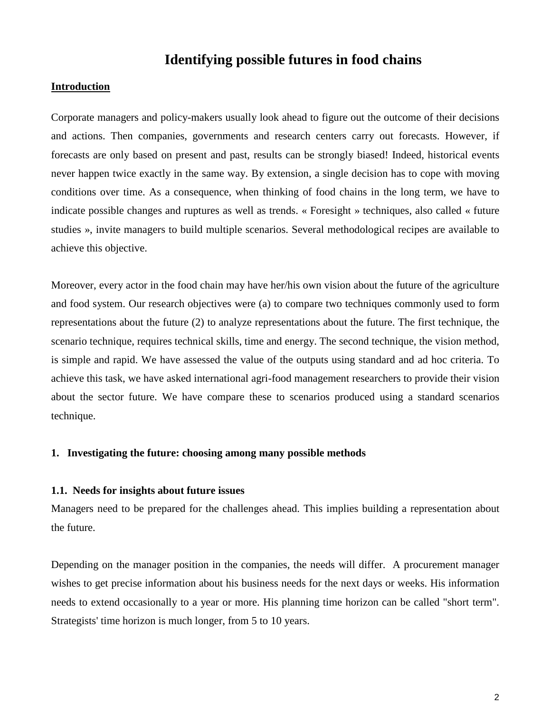# **Identifying possible futures in food chains**

# **Introduction**

Corporate managers and policy-makers usually look ahead to figure out the outcome of their decisions and actions. Then companies, governments and research centers carry out forecasts. However, if forecasts are only based on present and past, results can be strongly biased! Indeed, historical events never happen twice exactly in the same way. By extension, a single decision has to cope with moving conditions over time. As a consequence, when thinking of food chains in the long term, we have to indicate possible changes and ruptures as well as trends. « Foresight » techniques, also called « future studies », invite managers to build multiple scenarios. Several methodological recipes are available to achieve this objective.

Moreover, every actor in the food chain may have her/his own vision about the future of the agriculture and food system. Our research objectives were (a) to compare two techniques commonly used to form representations about the future (2) to analyze representations about the future. The first technique, the scenario technique, requires technical skills, time and energy. The second technique, the vision method, is simple and rapid. We have assessed the value of the outputs using standard and ad hoc criteria. To achieve this task, we have asked international agri-food management researchers to provide their vision about the sector future. We have compare these to scenarios produced using a standard scenarios technique.

# **1. Investigating the future: choosing among many possible methods**

#### **1.1. Needs for insights about future issues**

Managers need to be prepared for the challenges ahead. This implies building a representation about the future.

Depending on the manager position in the companies, the needs will differ. A procurement manager wishes to get precise information about his business needs for the next days or weeks. His information needs to extend occasionally to a year or more. His planning time horizon can be called "short term". Strategists' time horizon is much longer, from 5 to 10 years.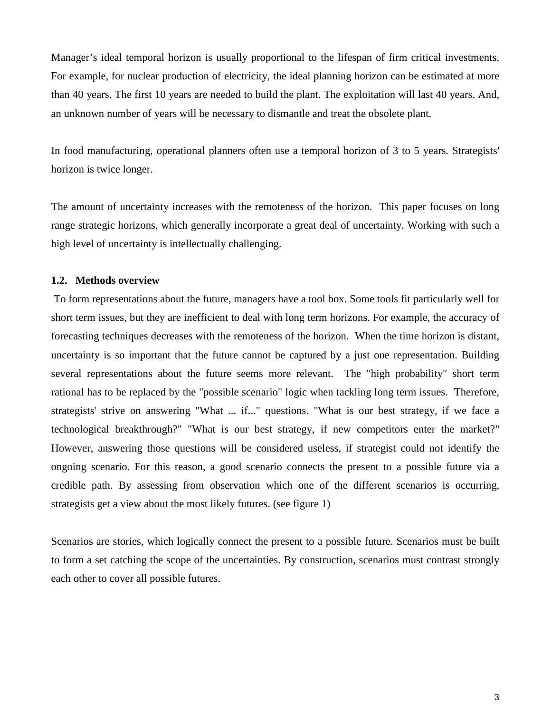Manager's ideal temporal horizon is usually proportional to the lifespan of firm critical investments. For example, for nuclear production of electricity, the ideal planning horizon can be estimated at more than 40 years. The first 10 years are needed to build the plant. The exploitation will last 40 years. And, an unknown number of years will be necessary to dismantle and treat the obsolete plant.

In food manufacturing, operational planners often use a temporal horizon of 3 to 5 years. Strategists' horizon is twice longer.

The amount of uncertainty increases with the remoteness of the horizon. This paper focuses on long range strategic horizons, which generally incorporate a great deal of uncertainty. Working with such a high level of uncertainty is intellectually challenging.

### **1.2. Methods overview**

 To form representations about the future, managers have a tool box. Some tools fit particularly well for short term issues, but they are inefficient to deal with long term horizons. For example, the accuracy of forecasting techniques decreases with the remoteness of the horizon. When the time horizon is distant, uncertainty is so important that the future cannot be captured by a just one representation. Building several representations about the future seems more relevant. The "high probability" short term rational has to be replaced by the "possible scenario" logic when tackling long term issues. Therefore, strategists' strive on answering "What ... if..." questions. "What is our best strategy, if we face a technological breakthrough?" "What is our best strategy, if new competitors enter the market?" However, answering those questions will be considered useless, if strategist could not identify the ongoing scenario. For this reason, a good scenario connects the present to a possible future via a credible path. By assessing from observation which one of the different scenarios is occurring, strategists get a view about the most likely futures. (see figure 1)

Scenarios are stories, which logically connect the present to a possible future. Scenarios must be built to form a set catching the scope of the uncertainties. By construction, scenarios must contrast strongly each other to cover all possible futures.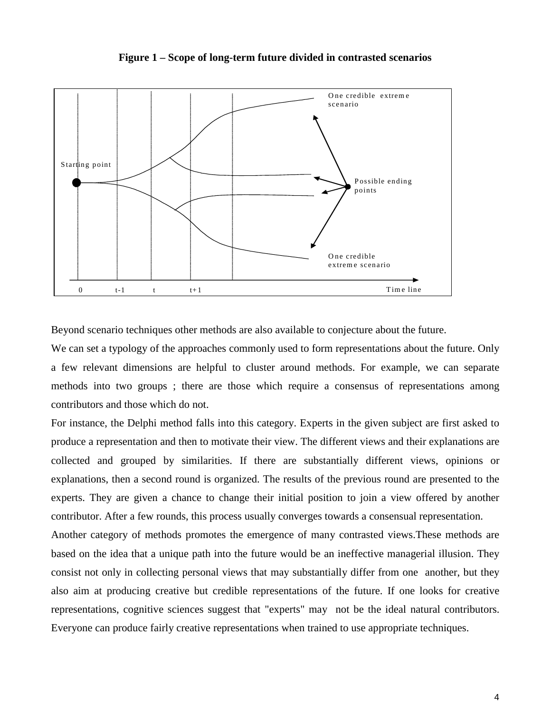

**Figure 1 – Scope of long-term future divided in contrasted scenarios** 

Beyond scenario techniques other methods are also available to conjecture about the future.

We can set a typology of the approaches commonly used to form representations about the future. Only a few relevant dimensions are helpful to cluster around methods. For example, we can separate methods into two groups ; there are those which require a consensus of representations among contributors and those which do not.

For instance, the Delphi method falls into this category. Experts in the given subject are first asked to produce a representation and then to motivate their view. The different views and their explanations are collected and grouped by similarities. If there are substantially different views, opinions or explanations, then a second round is organized. The results of the previous round are presented to the experts. They are given a chance to change their initial position to join a view offered by another contributor. After a few rounds, this process usually converges towards a consensual representation.

Another category of methods promotes the emergence of many contrasted views.These methods are based on the idea that a unique path into the future would be an ineffective managerial illusion. They consist not only in collecting personal views that may substantially differ from one another, but they also aim at producing creative but credible representations of the future. If one looks for creative representations, cognitive sciences suggest that "experts" may not be the ideal natural contributors. Everyone can produce fairly creative representations when trained to use appropriate techniques.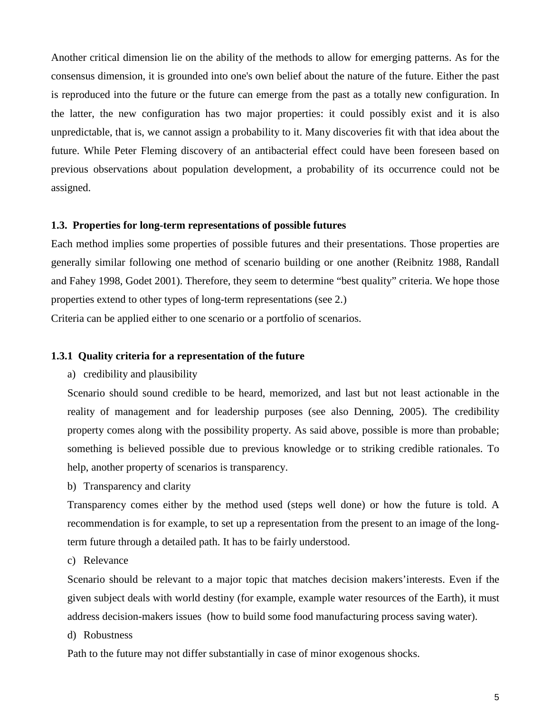Another critical dimension lie on the ability of the methods to allow for emerging patterns. As for the consensus dimension, it is grounded into one's own belief about the nature of the future. Either the past is reproduced into the future or the future can emerge from the past as a totally new configuration. In the latter, the new configuration has two major properties: it could possibly exist and it is also unpredictable, that is, we cannot assign a probability to it. Many discoveries fit with that idea about the future. While Peter Fleming discovery of an antibacterial effect could have been foreseen based on previous observations about population development, a probability of its occurrence could not be assigned.

### **1.3. Properties for long-term representations of possible futures**

Each method implies some properties of possible futures and their presentations. Those properties are generally similar following one method of scenario building or one another (Reibnitz 1988, Randall and Fahey 1998, Godet 2001). Therefore, they seem to determine "best quality" criteria. We hope those properties extend to other types of long-term representations (see 2.)

Criteria can be applied either to one scenario or a portfolio of scenarios.

# **1.3.1 Quality criteria for a representation of the future**

a) credibility and plausibility

Scenario should sound credible to be heard, memorized, and last but not least actionable in the reality of management and for leadership purposes (see also Denning, 2005). The credibility property comes along with the possibility property. As said above, possible is more than probable; something is believed possible due to previous knowledge or to striking credible rationales. To help, another property of scenarios is transparency.

b) Transparency and clarity

Transparency comes either by the method used (steps well done) or how the future is told. A recommendation is for example, to set up a representation from the present to an image of the longterm future through a detailed path. It has to be fairly understood.

c) Relevance

Scenario should be relevant to a major topic that matches decision makers'interests. Even if the given subject deals with world destiny (for example, example water resources of the Earth), it must address decision-makers issues (how to build some food manufacturing process saving water).

d) Robustness

Path to the future may not differ substantially in case of minor exogenous shocks.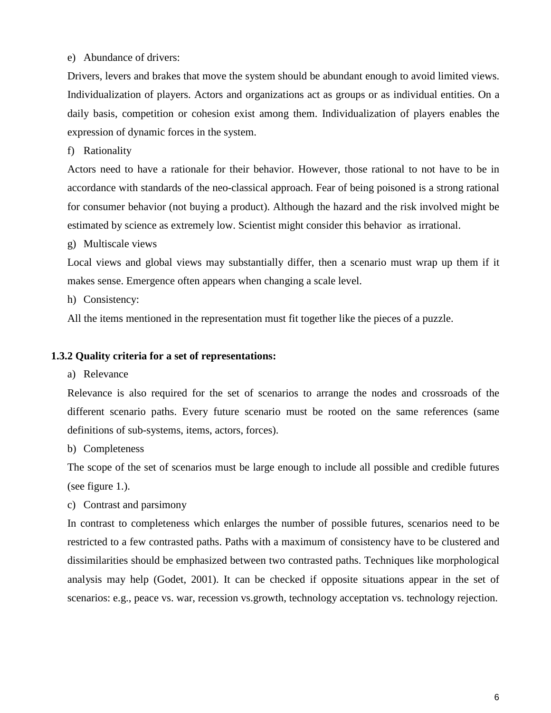e) Abundance of drivers:

Drivers, levers and brakes that move the system should be abundant enough to avoid limited views. Individualization of players. Actors and organizations act as groups or as individual entities. On a daily basis, competition or cohesion exist among them. Individualization of players enables the expression of dynamic forces in the system.

f) Rationality

Actors need to have a rationale for their behavior. However, those rational to not have to be in accordance with standards of the neo-classical approach. Fear of being poisoned is a strong rational for consumer behavior (not buying a product). Although the hazard and the risk involved might be estimated by science as extremely low. Scientist might consider this behavior as irrational.

g) Multiscale views

Local views and global views may substantially differ, then a scenario must wrap up them if it makes sense. Emergence often appears when changing a scale level.

h) Consistency:

All the items mentioned in the representation must fit together like the pieces of a puzzle.

# **1.3.2 Quality criteria for a set of representations:**

a) Relevance

Relevance is also required for the set of scenarios to arrange the nodes and crossroads of the different scenario paths. Every future scenario must be rooted on the same references (same definitions of sub-systems, items, actors, forces).

b) Completeness

The scope of the set of scenarios must be large enough to include all possible and credible futures (see figure 1.).

c) Contrast and parsimony

In contrast to completeness which enlarges the number of possible futures, scenarios need to be restricted to a few contrasted paths. Paths with a maximum of consistency have to be clustered and dissimilarities should be emphasized between two contrasted paths. Techniques like morphological analysis may help (Godet, 2001). It can be checked if opposite situations appear in the set of scenarios: e.g., peace vs. war, recession vs.growth, technology acceptation vs. technology rejection.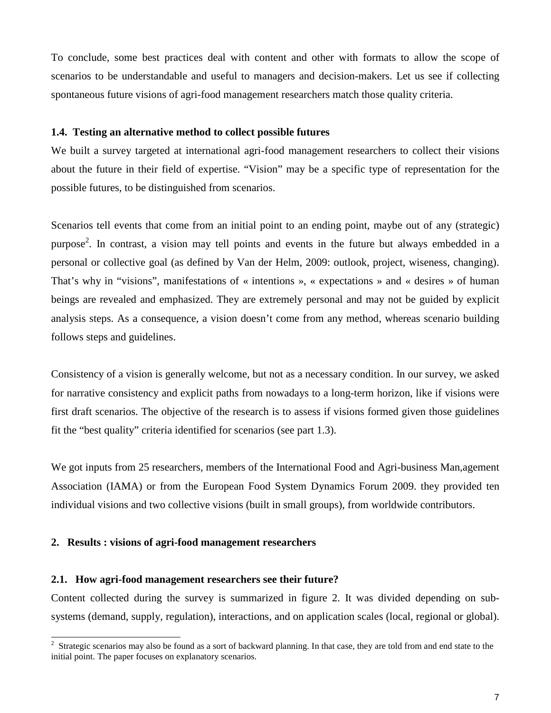To conclude, some best practices deal with content and other with formats to allow the scope of scenarios to be understandable and useful to managers and decision-makers. Let us see if collecting spontaneous future visions of agri-food management researchers match those quality criteria.

# **1.4. Testing an alternative method to collect possible futures**

We built a survey targeted at international agri-food management researchers to collect their visions about the future in their field of expertise. "Vision" may be a specific type of representation for the possible futures, to be distinguished from scenarios.

Scenarios tell events that come from an initial point to an ending point, maybe out of any (strategic) purpose<sup>2</sup>. In contrast, a vision may tell points and events in the future but always embedded in a personal or collective goal (as defined by Van der Helm, 2009: outlook, project, wiseness, changing). That's why in "visions", manifestations of « intentions », « expectations » and « desires » of human beings are revealed and emphasized. They are extremely personal and may not be guided by explicit analysis steps. As a consequence, a vision doesn't come from any method, whereas scenario building follows steps and guidelines.

Consistency of a vision is generally welcome, but not as a necessary condition. In our survey, we asked for narrative consistency and explicit paths from nowadays to a long-term horizon, like if visions were first draft scenarios. The objective of the research is to assess if visions formed given those guidelines fit the "best quality" criteria identified for scenarios (see part 1.3).

We got inputs from 25 researchers, members of the International Food and Agri-business Man, agement Association (IAMA) or from the European Food System Dynamics Forum 2009. they provided ten individual visions and two collective visions (built in small groups), from worldwide contributors.

# **2. Results : visions of agri-food management researchers**

 $\overline{a}$ 

## **2.1. How agri-food management researchers see their future?**

Content collected during the survey is summarized in figure 2. It was divided depending on subsystems (demand, supply, regulation), interactions, and on application scales (local, regional or global).

 $2$  Strategic scenarios may also be found as a sort of backward planning. In that case, they are told from and end state to the initial point. The paper focuses on explanatory scenarios.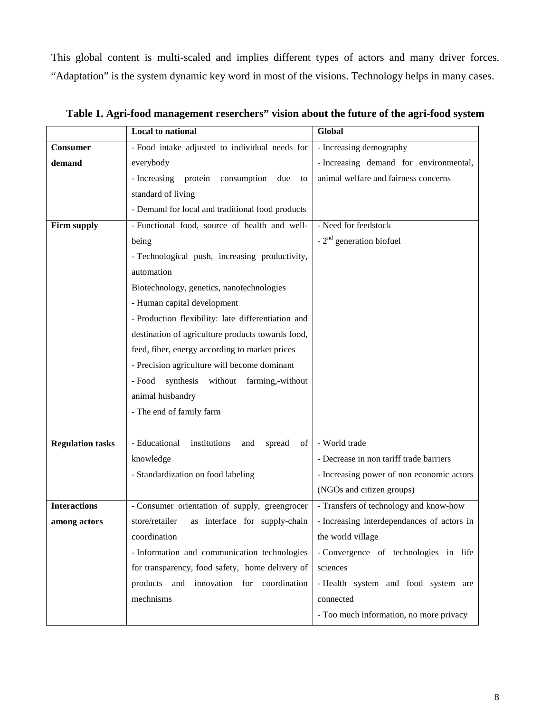This global content is multi-scaled and implies different types of actors and many driver forces. "Adaptation" is the system dynamic key word in most of the visions. Technology helps in many cases.

|                         | <b>Local to national</b>                             | Global                                     |
|-------------------------|------------------------------------------------------|--------------------------------------------|
| <b>Consumer</b>         | - Food intake adjusted to individual needs for       | - Increasing demography                    |
| demand                  | everybody                                            | - Increasing demand for environmental,     |
|                         | - Increasing protein<br>consumption<br>due<br>to     | animal welfare and fairness concerns       |
|                         | standard of living                                   |                                            |
|                         | - Demand for local and traditional food products     |                                            |
| Firm supply             | - Functional food, source of health and well-        | - Need for feedstock                       |
|                         | being                                                | $-2nd$ generation biofuel                  |
|                         | - Technological push, increasing productivity,       |                                            |
|                         | automation                                           |                                            |
|                         | Biotechnology, genetics, nanotechnologies            |                                            |
|                         | - Human capital development                          |                                            |
|                         | - Production flexibility: late differentiation and   |                                            |
|                         | destination of agriculture products towards food,    |                                            |
|                         | feed, fiber, energy according to market prices       |                                            |
|                         | - Precision agriculture will become dominant         |                                            |
|                         | - Food<br>synthesis<br>without farming,-without      |                                            |
|                         | animal husbandry                                     |                                            |
|                         | - The end of family farm                             |                                            |
|                         |                                                      |                                            |
| <b>Regulation tasks</b> | - Educational<br>institutions<br>spread<br>of<br>and | - World trade                              |
|                         | knowledge                                            | - Decrease in non tariff trade barriers    |
|                         | - Standardization on food labeling                   | - Increasing power of non economic actors  |
|                         |                                                      | (NGOs and citizen groups)                  |
| <b>Interactions</b>     | - Consumer orientation of supply, greengrocer        | - Transfers of technology and know-how     |
| among actors            | as interface for supply-chain<br>store/retailer      | - Increasing interdependances of actors in |
|                         | coordination                                         | the world village                          |
|                         | - Information and communication technologies         | - Convergence of technologies in life      |
|                         | for transparency, food safety, home delivery of      | sciences                                   |
|                         | products and innovation for coordination             | - Health system and food system are        |
|                         | mechnisms                                            | connected                                  |
|                         |                                                      | - Too much information, no more privacy    |

**Table 1. Agri-food management reserchers" vision about the future of the agri-food system**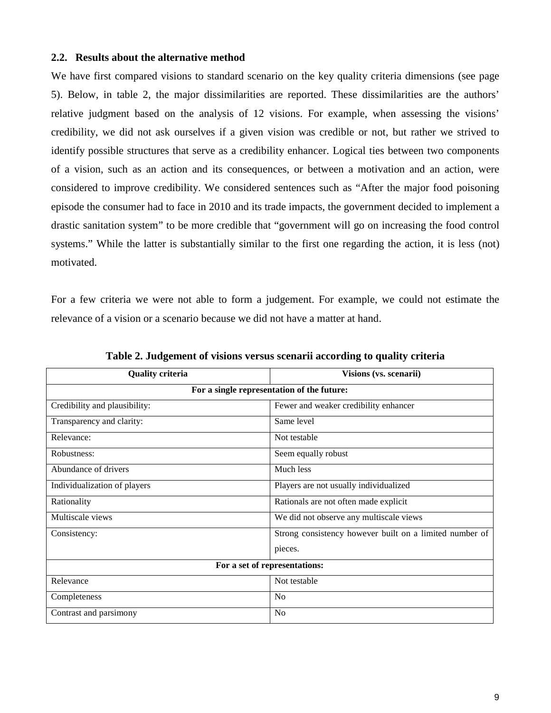# **2.2. Results about the alternative method**

We have first compared visions to standard scenario on the key quality criteria dimensions (see page 5). Below, in table 2, the major dissimilarities are reported. These dissimilarities are the authors' relative judgment based on the analysis of 12 visions. For example, when assessing the visions' credibility, we did not ask ourselves if a given vision was credible or not, but rather we strived to identify possible structures that serve as a credibility enhancer. Logical ties between two components of a vision, such as an action and its consequences, or between a motivation and an action, were considered to improve credibility. We considered sentences such as "After the major food poisoning episode the consumer had to face in 2010 and its trade impacts, the government decided to implement a drastic sanitation system" to be more credible that "government will go on increasing the food control systems." While the latter is substantially similar to the first one regarding the action, it is less (not) motivated.

For a few criteria we were not able to form a judgement. For example, we could not estimate the relevance of a vision or a scenario because we did not have a matter at hand.

| <b>Quality criteria</b>                    | Visions (vs. scenarii)                                  |  |  |
|--------------------------------------------|---------------------------------------------------------|--|--|
| For a single representation of the future: |                                                         |  |  |
| Credibility and plausibility:              | Fewer and weaker credibility enhancer                   |  |  |
| Transparency and clarity:                  | Same level                                              |  |  |
| Relevance:                                 | Not testable                                            |  |  |
| Robustness:                                | Seem equally robust                                     |  |  |
| Abundance of drivers                       | Much less                                               |  |  |
| Individualization of players               | Players are not usually individualized                  |  |  |
| Rationality                                | Rationals are not often made explicit                   |  |  |
| Multiscale views                           | We did not observe any multiscale views                 |  |  |
| Consistency:                               | Strong consistency however built on a limited number of |  |  |
|                                            | pieces.                                                 |  |  |
| For a set of representations:              |                                                         |  |  |
| Relevance                                  | Not testable                                            |  |  |
| Completeness                               | N <sub>o</sub>                                          |  |  |
| Contrast and parsimony                     | No                                                      |  |  |

**Table 2. Judgement of visions versus scenarii according to quality criteria**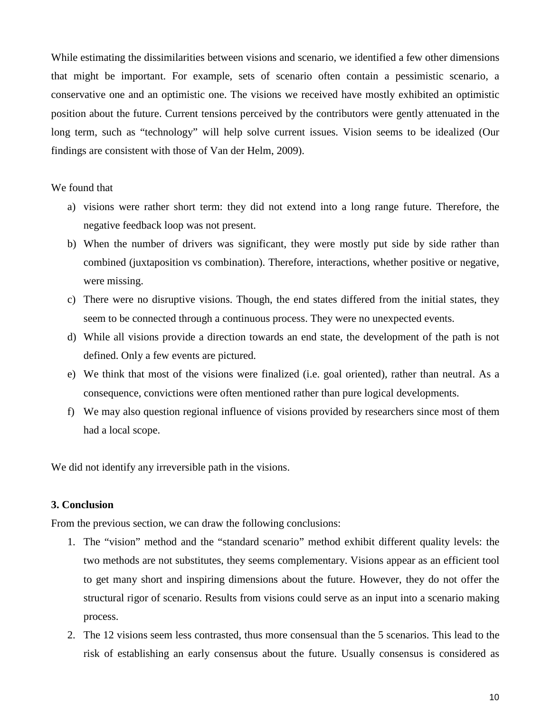While estimating the dissimilarities between visions and scenario, we identified a few other dimensions that might be important. For example, sets of scenario often contain a pessimistic scenario, a conservative one and an optimistic one. The visions we received have mostly exhibited an optimistic position about the future. Current tensions perceived by the contributors were gently attenuated in the long term, such as "technology" will help solve current issues. Vision seems to be idealized (Our findings are consistent with those of Van der Helm, 2009).

## We found that

- a) visions were rather short term: they did not extend into a long range future. Therefore, the negative feedback loop was not present.
- b) When the number of drivers was significant, they were mostly put side by side rather than combined (juxtaposition vs combination). Therefore, interactions, whether positive or negative, were missing.
- c) There were no disruptive visions. Though, the end states differed from the initial states, they seem to be connected through a continuous process. They were no unexpected events.
- d) While all visions provide a direction towards an end state, the development of the path is not defined. Only a few events are pictured.
- e) We think that most of the visions were finalized (i.e. goal oriented), rather than neutral. As a consequence, convictions were often mentioned rather than pure logical developments.
- f) We may also question regional influence of visions provided by researchers since most of them had a local scope.

We did not identify any irreversible path in the visions.

# **3. Conclusion**

From the previous section, we can draw the following conclusions:

- 1. The "vision" method and the "standard scenario" method exhibit different quality levels: the two methods are not substitutes, they seems complementary. Visions appear as an efficient tool to get many short and inspiring dimensions about the future. However, they do not offer the structural rigor of scenario. Results from visions could serve as an input into a scenario making process.
- 2. The 12 visions seem less contrasted, thus more consensual than the 5 scenarios. This lead to the risk of establishing an early consensus about the future. Usually consensus is considered as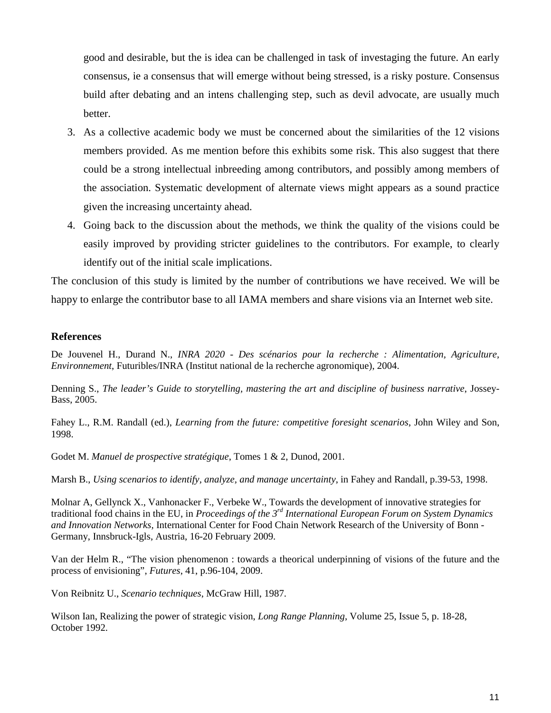good and desirable, but the is idea can be challenged in task of investaging the future. An early consensus, ie a consensus that will emerge without being stressed, is a risky posture. Consensus build after debating and an intens challenging step, such as devil advocate, are usually much better.

- 3. As a collective academic body we must be concerned about the similarities of the 12 visions members provided. As me mention before this exhibits some risk. This also suggest that there could be a strong intellectual inbreeding among contributors, and possibly among members of the association. Systematic development of alternate views might appears as a sound practice given the increasing uncertainty ahead.
- 4. Going back to the discussion about the methods, we think the quality of the visions could be easily improved by providing stricter guidelines to the contributors. For example, to clearly identify out of the initial scale implications.

The conclusion of this study is limited by the number of contributions we have received. We will be happy to enlarge the contributor base to all IAMA members and share visions via an Internet web site.

# **References**

De Jouvenel H., Durand N., *INRA 2020 - Des scénarios pour la recherche : Alimentation, Agriculture, Environnement*, Futuribles/INRA (Institut national de la recherche agronomique), 2004.

Denning S., *The leader's Guide to storytelling, mastering the art and discipline of business narrative*, Jossey-Bass, 2005.

Fahey L., R.M. Randall (ed.), *Learning from the future: competitive foresight scenarios*, John Wiley and Son, 1998.

Godet M. *Manuel de prospective stratégique*, Tomes 1 & 2, Dunod, 2001.

Marsh B., *Using scenarios to identify, analyze, and manage uncertainty*, in Fahey and Randall, p.39-53, 1998.

Molnar A, Gellynck X., Vanhonacker F., Verbeke W., Towards the development of innovative strategies for traditional food chains in the EU, in *Proceedings of the 3rd International European Forum on System Dynamics and Innovation Networks,* International Center for Food Chain Network Research of the University of Bonn - Germany, Innsbruck-Igls, Austria, 16-20 February 2009.

Van der Helm R., "The vision phenomenon : towards a theorical underpinning of visions of the future and the process of envisioning", *Futures*, 41, p.96-104, 2009.

Von Reibnitz U., *Scenario techniques*, McGraw Hill, 1987.

Wilson Ian, Realizing the power of strategic vision, *Long Range Planning*, Volume 25, Issue 5, p. 18-28, October 1992.